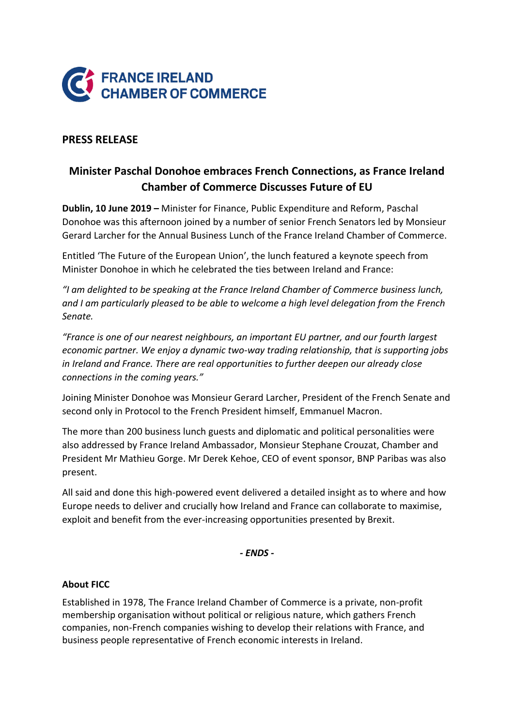

## **PRESS RELEASE**

## **Minister Paschal Donohoe embraces French Connections, as France Ireland Chamber of Commerce Discusses Future of EU**

**Dublin, 10 June 2019 –** Minister for Finance, Public Expenditure and Reform, Paschal Donohoe was this afternoon joined by a number of senior French Senators led by Monsieur Gerard Larcher for the Annual Business Lunch of the France Ireland Chamber of Commerce.

Entitled 'The Future of the European Union', the lunch featured a keynote speech from Minister Donohoe in which he celebrated the ties between Ireland and France:

*"I am delighted to be speaking at the France Ireland Chamber of Commerce business lunch, and I am particularly pleased to be able to welcome a high level delegation from the French Senate.* 

*"France is one of our nearest neighbours, an important EU partner, and our fourth largest economic partner. We enjoy a dynamic two-way trading relationship, that is supporting jobs in Ireland and France. There are real opportunities to further deepen our already close connections in the coming years."*

Joining Minister Donohoe was Monsieur Gerard Larcher, President of the French Senate and second only in Protocol to the French President himself, Emmanuel Macron.

The more than 200 business lunch guests and diplomatic and political personalities were also addressed by France Ireland Ambassador, Monsieur Stephane Crouzat, Chamber and President Mr Mathieu Gorge. Mr Derek Kehoe, CEO of event sponsor, BNP Paribas was also present.

All said and done this high-powered event delivered a detailed insight as to where and how Europe needs to deliver and crucially how Ireland and France can collaborate to maximise, exploit and benefit from the ever-increasing opportunities presented by Brexit.

*- ENDS -*

## **About FICC**

Established in 1978, The France Ireland Chamber of Commerce is a private, non-profit membership organisation without political or religious nature, which gathers French companies, non-French companies wishing to develop their relations with France, and business people representative of French economic interests in Ireland.